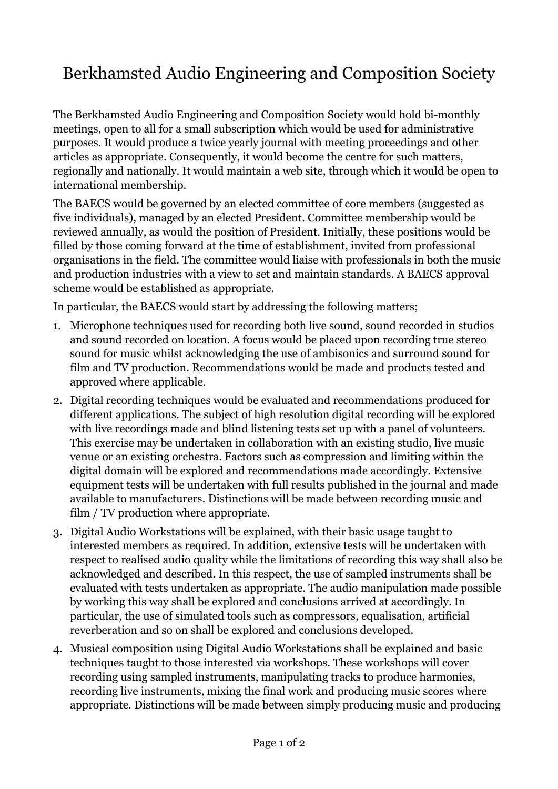## Berkhamsted Audio Engineering and Composition Society

The Berkhamsted Audio Engineering and Composition Society would hold bi-monthly meetings, open to all for a small subscription which would be used for administrative purposes. It would produce a twice yearly journal with meeting proceedings and other articles as appropriate. Consequently, it would become the centre for such matters, regionally and nationally. It would maintain a web site, through which it would be open to international membership.

The BAECS would be governed by an elected committee of core members (suggested as five individuals), managed by an elected President. Committee membership would be reviewed annually, as would the position of President. Initially, these positions would be filled by those coming forward at the time of establishment, invited from professional organisations in the field. The committee would liaise with professionals in both the music and production industries with a view to set and maintain standards. A BAECS approval scheme would be established as appropriate.

In particular, the BAECS would start by addressing the following matters;

- 1. Microphone techniques used for recording both live sound, sound recorded in studios and sound recorded on location. A focus would be placed upon recording true stereo sound for music whilst acknowledging the use of ambisonics and surround sound for film and TV production. Recommendations would be made and products tested and approved where applicable.
- 2. Digital recording techniques would be evaluated and recommendations produced for different applications. The subject of high resolution digital recording will be explored with live recordings made and blind listening tests set up with a panel of volunteers. This exercise may be undertaken in collaboration with an existing studio, live music venue or an existing orchestra. Factors such as compression and limiting within the digital domain will be explored and recommendations made accordingly. Extensive equipment tests will be undertaken with full results published in the journal and made available to manufacturers. Distinctions will be made between recording music and film / TV production where appropriate.
- 3. Digital Audio Workstations will be explained, with their basic usage taught to interested members as required. In addition, extensive tests will be undertaken with respect to realised audio quality while the limitations of recording this way shall also be acknowledged and described. In this respect, the use of sampled instruments shall be evaluated with tests undertaken as appropriate. The audio manipulation made possible by working this way shall be explored and conclusions arrived at accordingly. In particular, the use of simulated tools such as compressors, equalisation, artificial reverberation and so on shall be explored and conclusions developed.
- 4. Musical composition using Digital Audio Workstations shall be explained and basic techniques taught to those interested via workshops. These workshops will cover recording using sampled instruments, manipulating tracks to produce harmonies, recording live instruments, mixing the final work and producing music scores where appropriate. Distinctions will be made between simply producing music and producing